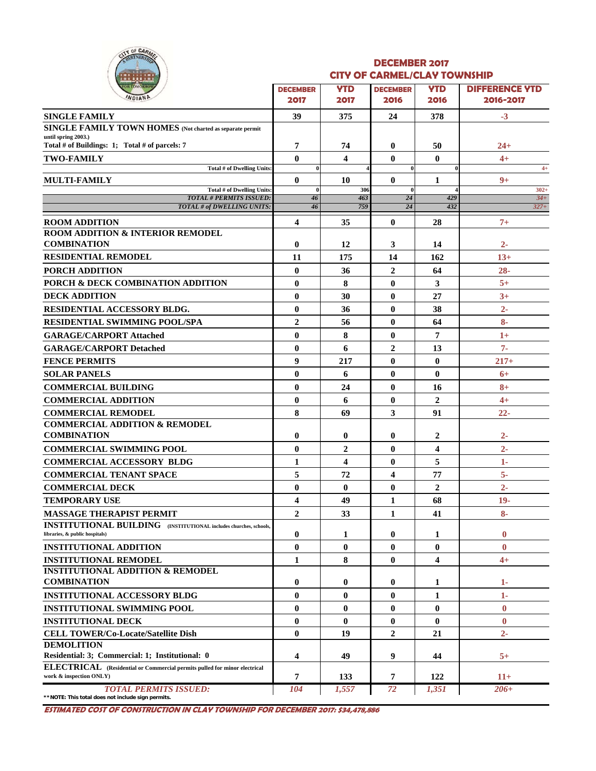

#### **DECEMBER 2017 CITY OF CARMEL/CLAY TOWNSHIP**

| -------                                                                                              |                         |                         |                  |                |                       |
|------------------------------------------------------------------------------------------------------|-------------------------|-------------------------|------------------|----------------|-----------------------|
| <b>OR TOMORROW</b><br>WDIAND                                                                         | <b>DECEMBER</b>         | <b>YTD</b>              | <b>DECEMBER</b>  | <b>YTD</b>     | <b>DIFFERENCE YTD</b> |
|                                                                                                      | 2017                    | 2017                    | 2016             | 2016           | 2016-2017             |
| <b>SINGLE FAMILY</b>                                                                                 | 39                      | 375                     | 24               | 378            | $-3$                  |
| <b>SINGLE FAMILY TOWN HOMES</b> (Not charted as separate permit<br>until spring 2003.)               |                         |                         |                  |                |                       |
| Total # of Buildings: 1; Total # of parcels: 7                                                       | 7                       | 74                      | $\bf{0}$         | 50             | $24 +$                |
| <b>TWO-FAMILY</b>                                                                                    | $\mathbf{0}$            | $\overline{\mathbf{4}}$ | $\bf{0}$         | $\mathbf{0}$   | $4+$                  |
| Total # of Dwelling Units:                                                                           | $\bf{0}$                |                         | $\bf{0}$         |                | $4+$                  |
| <b>MULTI-FAMILY</b>                                                                                  | $\mathbf{0}$            | 10                      | $\bf{0}$         | 1              | $9+$                  |
| Total # of Dwelling Units:<br><b>TOTAL # PERMITS ISSUED:</b>                                         | $\mathbf{0}$<br>46      | 306<br>463              | $\bf{0}$<br>24   | 429            | $302 +$<br>$34 +$     |
| TOTAL # of DWELLING UNITS:                                                                           | 46                      | 759                     | 24               | 432            | $327+$                |
| <b>ROOM ADDITION</b>                                                                                 | $\overline{\mathbf{4}}$ | 35                      | $\bf{0}$         | 28             | $7+$                  |
| <b>ROOM ADDITION &amp; INTERIOR REMODEL</b>                                                          |                         |                         |                  |                |                       |
| <b>COMBINATION</b>                                                                                   | $\bf{0}$                | 12                      | 3                | 14             | $2 -$                 |
| <b>RESIDENTIAL REMODEL</b>                                                                           | 11                      | 175                     | 14               | 162            | $13+$                 |
| PORCH ADDITION                                                                                       | $\bf{0}$                | 36                      | $\boldsymbol{2}$ | 64             | $28 -$                |
| PORCH & DECK COMBINATION ADDITION                                                                    | $\bf{0}$                | 8                       | $\bf{0}$         | 3              | $5+$                  |
| <b>DECK ADDITION</b>                                                                                 | $\mathbf{0}$            | 30                      | 0                | 27             | $3+$                  |
| RESIDENTIAL ACCESSORY BLDG.                                                                          | $\bf{0}$                | 36                      | $\bf{0}$         | 38             | $2 -$                 |
|                                                                                                      | $\overline{2}$          |                         | $\bf{0}$         |                | $8-$                  |
| <b>RESIDENTIAL SWIMMING POOL/SPA</b>                                                                 |                         | 56                      |                  | 64             |                       |
| <b>GARAGE/CARPORT Attached</b>                                                                       | $\bf{0}$                | 8                       | $\bf{0}$         | 7              | $1+$                  |
| <b>GARAGE/CARPORT Detached</b>                                                                       | $\mathbf{0}$            | 6                       | $\overline{2}$   | 13             | $7-$                  |
| <b>FENCE PERMITS</b>                                                                                 | 9                       | 217                     | $\bf{0}$         | $\bf{0}$       | $217+$                |
| <b>SOLAR PANELS</b>                                                                                  | $\bf{0}$                | 6                       | $\bf{0}$         | $\bf{0}$       | $6+$                  |
| <b>COMMERCIAL BUILDING</b>                                                                           | $\bf{0}$                | 24                      | $\bf{0}$         | 16             | $8+$                  |
| <b>COMMERCIAL ADDITION</b>                                                                           | $\mathbf{0}$            | 6                       | $\bf{0}$         | $\overline{2}$ | $4+$                  |
| <b>COMMERCIAL REMODEL</b>                                                                            | 8                       | 69                      | 3                | 91             | $22 -$                |
| <b>COMMERCIAL ADDITION &amp; REMODEL</b>                                                             |                         |                         |                  |                |                       |
| <b>COMBINATION</b>                                                                                   | $\bf{0}$                | $\bf{0}$                | $\bf{0}$         | $\mathbf{2}$   | $2 -$                 |
| <b>COMMERCIAL SWIMMING POOL</b>                                                                      | $\bf{0}$                | $\overline{2}$          | $\bf{0}$         | 4              | $2 -$                 |
| <b>COMMERCIAL ACCESSORY BLDG</b>                                                                     | 1                       | $\overline{\mathbf{4}}$ | $\bf{0}$         | 5              | 1-                    |
| <b>COMMERCIAL TENANT SPACE</b>                                                                       | 5                       | 72                      | 4                | 77             | $5-$                  |
| <b>COMMERCIAL DECK</b>                                                                               | $\bf{0}$                | $\bf{0}$                | $\bf{0}$         | $\mathbf{2}$   | $2 -$                 |
| <b>TEMPORARY USE</b>                                                                                 | $\overline{\mathbf{4}}$ | 49                      | 1                | 68             | $19-$                 |
| <b>MASSAGE THERAPIST PERMIT</b>                                                                      | $\boldsymbol{2}$        | 33                      | $\mathbf{1}$     | 41             | $8-$                  |
| <b>INSTITUTIONAL BUILDING</b> (INSTITUTIONAL includes churches, schools,                             |                         |                         |                  |                |                       |
| libraries, & public hospitals)                                                                       | $\bf{0}$                | 1                       | 0                | 1              | $\bf{0}$              |
| <b>INSTITUTIONAL ADDITION</b>                                                                        | $\bf{0}$                | $\bf{0}$                | $\bf{0}$         | $\bf{0}$       | $\mathbf{0}$          |
| <b>INSTITUTIONAL REMODEL</b>                                                                         | 1                       | 8                       | $\bf{0}$         | 4              | $4+$                  |
| <b>INSTITUTIONAL ADDITION &amp; REMODEL</b>                                                          |                         |                         |                  |                |                       |
| <b>COMBINATION</b>                                                                                   | $\bf{0}$                | $\bf{0}$                | 0                | 1              | 1-                    |
| <b>INSTITUTIONAL ACCESSORY BLDG</b>                                                                  | $\bf{0}$                | $\bf{0}$                | $\bf{0}$         | 1              | 1-                    |
| <b>INSTITUTIONAL SWIMMING POOL</b>                                                                   | $\bf{0}$                | $\bf{0}$                | $\bf{0}$         | $\bf{0}$       | $\bf{0}$              |
| <b>INSTITUTIONAL DECK</b>                                                                            | $\bf{0}$                | $\mathbf{0}$            | $\bf{0}$         | $\bf{0}$       | $\mathbf{0}$          |
| <b>CELL TOWER/Co-Locate/Satellite Dish</b>                                                           | $\bf{0}$                | 19                      | $\overline{2}$   | 21             | 2-                    |
| <b>DEMOLITION</b>                                                                                    |                         |                         |                  |                |                       |
| Residential: 3; Commercial: 1; Institutional: 0                                                      | $\overline{\mathbf{4}}$ | 49                      | 9                | 44             | $5+$                  |
| ELECTRICAL (Residential or Commercial permits pulled for minor electrical<br>work & inspection ONLY) | 7                       | 133                     | 7                | 122            | $11+$                 |
| <b>TOTAL PERMITS ISSUED:</b><br>**NOTE: This total does not include sign permits.                    | 104                     | 1,557                   | 72               | 1,351          | $206+$                |

**ESTIMATED COST OF CONSTRUCTION IN CLAY TOWNSHIP FOR DECEMBER 2017: \$34,478,886**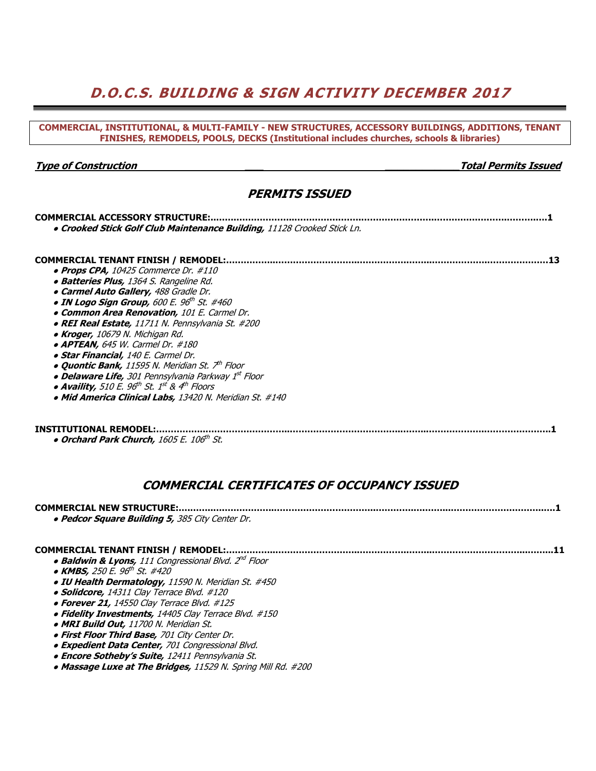# **D.O.C.S. BUILDING & SIGN ACTIVITY DECEMBER 2017**

#### **COMMERCIAL, INSTITUTIONAL, & MULTI-FAMILY - NEW STRUCTURES, ACCESSORY BUILDINGS, ADDITIONS, TENANT FINISHES, REMODELS, POOLS, DECKS (Institutional includes churches, schools & libraries)**

#### **Type of Construction \_\_\_ \_\_\_\_\_\_\_\_\_\_\_\_Total Permits Issued**

### **PERMITS ISSUED**

| <b>COMMERCIAL ACCESSORY STRUCTURE:</b>                                           |  |
|----------------------------------------------------------------------------------|--|
| . Crooked Stick Golf Club Maintenance Building, 11128 Crooked Stick Ln.          |  |
|                                                                                  |  |
| <b>COMMERCIAL TENANT FINISH / REMODEL:</b>                                       |  |
| $\bullet$ Props CPA, 10425 Commerce Dr. #110                                     |  |
| <b>• Batteries Plus,</b> 1364 S. Rangeline Rd.                                   |  |
| • Carmel Auto Gallery, 488 Gradle Dr.                                            |  |
| • IN Logo Sign Group, 600 E. $96^{th}$ St. #460                                  |  |
| • Common Area Renovation, 101 E. Carmel Dr.                                      |  |
| • REI Real Estate, 11711 N. Pennsylvania St. #200                                |  |
| • Kroger, 10679 N. Michigan Rd.                                                  |  |
| $\bullet$ APTEAN, 645 W. Carmel Dr. #180                                         |  |
| • Star Financial, 140 E. Carmel Dr.                                              |  |
| <b>• Quontic Bank,</b> 11595 N. Meridian St. 7 <sup>th</sup> Floor               |  |
| • Delaware Life, 301 Pennsylvania Parkway 1st Floor                              |  |
| • Availity, 510 E. 96 <sup>th</sup> St. 1 <sup>st</sup> & 4 <sup>th</sup> Floors |  |
| • Mid America Clinical Labs, 13420 N. Meridian St. #140                          |  |
|                                                                                  |  |
|                                                                                  |  |
| <b>INSTITUTIONAL REMODEL:</b>                                                    |  |

● **Orchard Park Church,** 1605 E. 106th St.

### **COMMERCIAL CERTIFICATES OF OCCUPANCY ISSUED**

## **COMMERCIAL NEW STRUCTURE:….……..….……………..……………………………..………….….……...…………………………..….1**

● **Pedcor Square Building 5,** 385 City Center Dr.

#### **COMMERCIAL TENANT FINISH / REMODEL:……………..………………………..…………….……...…………………………...……...11**

- **Baldwin & Lyons,** 111 Congressional Blvd. 2nd Floor
- **KMBS,** 250 E. 96th St. #420
- **IU Health Dermatology,** 11590 N. Meridian St. #450
- **Solidcore,** 14311 Clay Terrace Blvd. #120
- **Forever 21,** 14550 Clay Terrace Blvd. #125
- **Fidelity Investments,** 14405 Clay Terrace Blvd. #150
- **MRI Build Out,** 11700 N. Meridian St.
- **First Floor Third Base,** 701 City Center Dr.
- **Expedient Data Center,** 701 Congressional Blvd.
- **Encore Sotheby's Suite,** 12411 Pennsylvania St.
- **Massage Luxe at The Bridges,** 11529 N. Spring Mill Rd. #200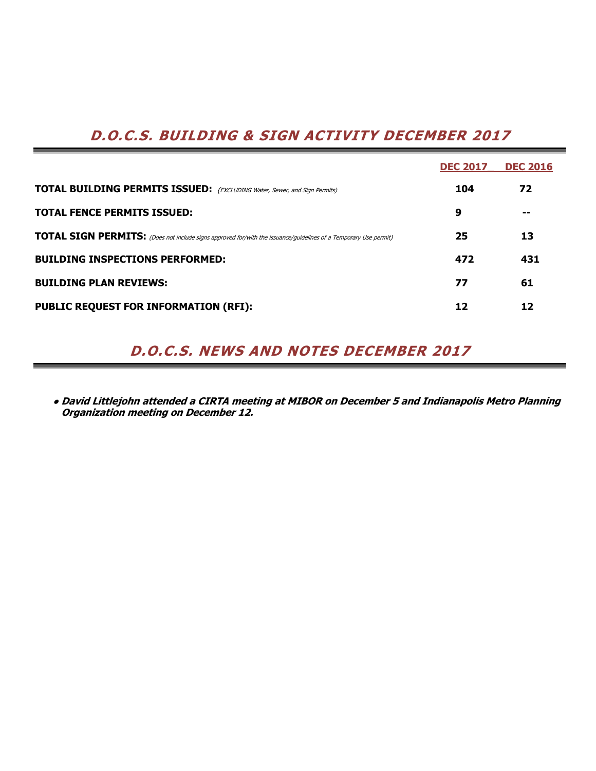# **D.O.C.S. BUILDING & SIGN ACTIVITY DECEMBER 2017**

|                                                                                                                         | <b>DEC 2017</b> | <b>DEC 2016</b> |
|-------------------------------------------------------------------------------------------------------------------------|-----------------|-----------------|
| <b>TOTAL BUILDING PERMITS ISSUED:</b> (EXCLUDING Water, Sewer, and Sign Permits)                                        | 104             | 72              |
| <b>TOTAL FENCE PERMITS ISSUED:</b>                                                                                      | 9               | --              |
| <b>TOTAL SIGN PERMITS:</b> (Does not include signs approved for/with the issuance/guidelines of a Temporary Use permit) | 25              | 13              |
| <b>BUILDING INSPECTIONS PERFORMED:</b>                                                                                  | 472             | 431             |
| <b>BUILDING PLAN REVIEWS:</b>                                                                                           | 77              | 61              |
| <b>PUBLIC REQUEST FOR INFORMATION (RFI):</b>                                                                            | 12              | 12              |

# **D.O.C.S. NEWS AND NOTES DECEMBER 2017**

**● David Littlejohn attended a CIRTA meeting at MIBOR on December 5 and Indianapolis Metro Planning Organization meeting on December 12.**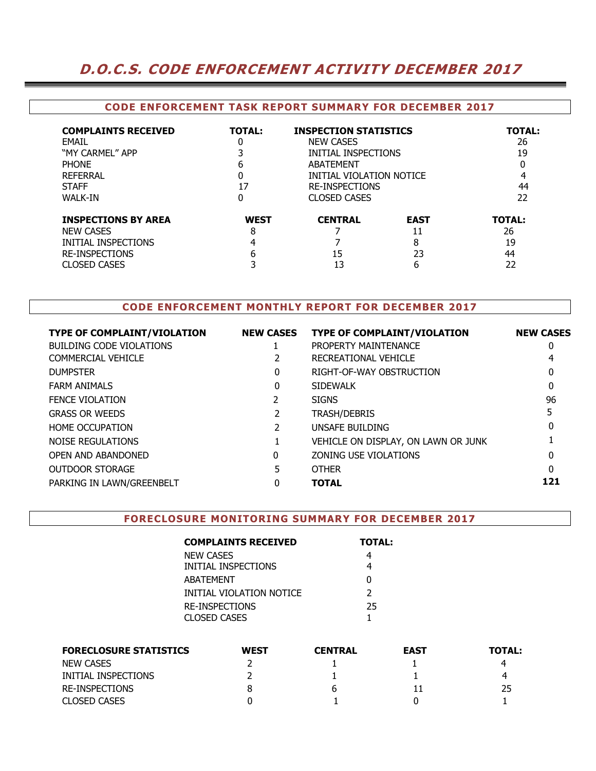## **D.O.C.S. CODE ENFORCEMENT ACTIVITY DECEMBER 2017**

### **CODE ENFORCEMENT TASK REPORT SUMMARY FOR DECEMBER 2017**

| <b>COMPLAINTS RECEIVED</b><br>FMAIL<br>"MY CARMEL" APP<br><b>PHONE</b><br><b>REFERRAL</b><br><b>STAFF</b><br><b>WALK-IN</b> | <b>TOTAL:</b><br>0<br>h<br>17<br>0 | <b>INSPECTION STATISTICS</b><br><b>NEW CASES</b><br>INITIAL INSPECTIONS<br>ABATEMENT<br>INITIAL VIOLATION NOTICE<br><b>RE-INSPECTIONS</b><br><b>CLOSED CASES</b> | <b>TOTAL:</b><br>26<br>19<br>4<br>44<br>22 |                                       |
|-----------------------------------------------------------------------------------------------------------------------------|------------------------------------|------------------------------------------------------------------------------------------------------------------------------------------------------------------|--------------------------------------------|---------------------------------------|
| <b>INSPECTIONS BY AREA</b><br><b>NEW CASES</b><br>INITIAL INSPECTIONS<br><b>RE-INSPECTIONS</b><br><b>CLOSED CASES</b>       | <b>WEST</b><br>8<br>6              | <b>CENTRAL</b><br>15<br>13                                                                                                                                       | <b>EAST</b><br>11<br>8<br>23<br>6          | <b>TOTAL:</b><br>26<br>19<br>44<br>22 |

### **CODE ENFORCEMENT MONTHLY REPORT FOR DECEMBER 2017**

| <b>TYPE OF COMPLAINT/VIOLATION</b> | <b>NEW CASES</b> | <b>TYPE OF COMPLAINT/VIOLATION</b>  | <b>NEW CASES</b> |
|------------------------------------|------------------|-------------------------------------|------------------|
| <b>BUILDING CODE VIOLATIONS</b>    |                  | PROPERTY MAINTENANCE                | 0                |
| COMMERCIAL VEHICLE                 |                  | RECREATIONAL VEHICLE                |                  |
| <b>DUMPSTER</b>                    | 0                | RIGHT-OF-WAY OBSTRUCTION            | 0                |
| <b>FARM ANIMALS</b>                | 0                | <b>SIDEWALK</b>                     |                  |
| <b>FENCE VIOLATION</b>             |                  | <b>SIGNS</b>                        | 96               |
| <b>GRASS OR WEEDS</b>              |                  | TRASH/DEBRIS                        |                  |
| <b>HOME OCCUPATION</b>             |                  | UNSAFE BUILDING                     |                  |
| NOISE REGULATIONS                  |                  | VEHICLE ON DISPLAY, ON LAWN OR JUNK |                  |
| OPEN AND ABANDONED                 | $\Omega$         | ZONING USE VIOLATIONS               | O                |
| <b>OUTDOOR STORAGE</b>             |                  | <b>OTHER</b>                        | <sup>0</sup>     |
| PARKING IN LAWN/GREENBELT          |                  | <b>TOTAL</b>                        | 121              |
|                                    |                  |                                     |                  |

#### **FORECLOSURE MONITORING SUMMARY FOR DECEMBER 2017**

| <b>COMPLAINTS RECEIVED</b> | <b>TOTAL:</b> |
|----------------------------|---------------|
| NEW CASES                  |               |
| INITIAL INSPECTIONS        |               |
| ABATEMENT                  | O             |
| INITIAL VIOLATION NOTICE   | $\mathcal{P}$ |
| RE-INSPECTIONS             | 25            |
| CLOSED CASES               |               |

| <b>FORECLOSURE STATISTICS</b> | <b>WEST</b> | <b>CENTRAL</b> | <b>EAST</b> | <b>TOTAL:</b> |
|-------------------------------|-------------|----------------|-------------|---------------|
| NEW CASES                     |             |                |             |               |
| INITIAL INSPECTIONS           |             |                |             |               |
| RE-INSPECTIONS                |             | b              |             | 25            |
| <b>CLOSED CASES</b>           |             |                |             |               |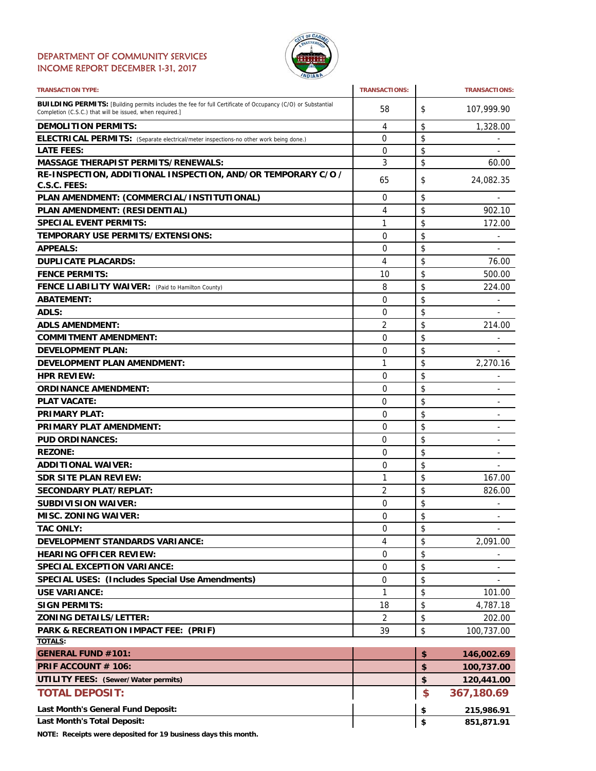#### DEPARTMENT OF COMMUNITY SERVICES INCOME REPORT DECEMBER 1-31, 2017



| <b>TRANSACTION TYPE:</b>                                                                                                                                                       | <b>TRANSACTIONS:</b> | <b>TRANSACTIONS:</b>               |
|--------------------------------------------------------------------------------------------------------------------------------------------------------------------------------|----------------------|------------------------------------|
| <b>BUILDING PERMITS:</b> [Building permits includes the fee for full Certificate of Occupancy (C/O) or Substantial<br>Completion (C.S.C.) that will be issued, when required.] | 58                   | \$<br>107,999.90                   |
| <b>DEMOLITION PERMITS:</b>                                                                                                                                                     | 4                    | \$<br>1,328.00                     |
| ELECTRICAL PERMITS: (Separate electrical/meter inspections-no other work being done.)                                                                                          | 0                    | \$                                 |
| <b>LATE FEES:</b>                                                                                                                                                              | 0                    | \$                                 |
| <b>MASSAGE THERAPIST PERMITS/RENEWALS:</b>                                                                                                                                     | 3                    | \$<br>60.00                        |
| RE-INSPECTION, ADDITIONAL INSPECTION, AND/OR TEMPORARY C/O /                                                                                                                   | 65                   | \$<br>24,082.35                    |
| C.S.C. FEES:                                                                                                                                                                   |                      |                                    |
| PLAN AMENDMENT: (COMMERCIAL/INSTITUTIONAL)                                                                                                                                     | 0                    | \$                                 |
| PLAN AMENDMENT: (RESIDENTIAL)                                                                                                                                                  | 4                    | \$<br>902.10                       |
| <b>SPECIAL EVENT PERMITS:</b>                                                                                                                                                  | 1                    | \$<br>172.00                       |
| <b>TEMPORARY USE PERMITS/EXTENSIONS:</b>                                                                                                                                       | 0                    | \$                                 |
| <b>APPEALS:</b>                                                                                                                                                                | 0                    | \$<br>۰                            |
| <b>DUPLICATE PLACARDS:</b>                                                                                                                                                     | 4                    | \$<br>76.00                        |
| <b>FENCE PERMITS:</b>                                                                                                                                                          | 10                   | \$<br>500.00                       |
| FENCE LIABILITY WAIVER: (Paid to Hamilton County)                                                                                                                              | 8                    | \$<br>224.00                       |
| <b>ABATEMENT:</b>                                                                                                                                                              | 0                    | \$                                 |
| ADLS:                                                                                                                                                                          | 0                    | \$                                 |
| <b>ADLS AMENDMENT:</b>                                                                                                                                                         | 2                    | \$<br>214.00                       |
| <b>COMMITMENT AMENDMENT:</b>                                                                                                                                                   | 0                    | \$                                 |
| <b>DEVELOPMENT PLAN:</b>                                                                                                                                                       | $\Omega$             | \$                                 |
| <b>DEVELOPMENT PLAN AMENDMENT:</b>                                                                                                                                             | 1                    | \$<br>2,270.16                     |
| <b>HPR REVIEW:</b>                                                                                                                                                             | 0                    | \$<br>٠                            |
| <b>ORDINANCE AMENDMENT:</b>                                                                                                                                                    | 0                    | \$<br>۰                            |
| <b>PLAT VACATE:</b>                                                                                                                                                            | 0                    | \$<br>$\overline{\phantom{0}}$     |
| <b>PRIMARY PLAT:</b>                                                                                                                                                           | 0                    | \$                                 |
| <b>PRIMARY PLAT AMENDMENT:</b>                                                                                                                                                 | 0                    | \$                                 |
| <b>PUD ORDINANCES:</b>                                                                                                                                                         | 0                    | \$                                 |
| <b>REZONE:</b>                                                                                                                                                                 | 0                    | \$                                 |
| <b>ADDITIONAL WAIVER:</b>                                                                                                                                                      | 0                    | \$<br>$\qquad \qquad \blacksquare$ |
| <b>SDR SITE PLAN REVIEW:</b>                                                                                                                                                   | 1                    | \$<br>167.00                       |
| <b>SECONDARY PLAT/REPLAT:</b>                                                                                                                                                  | $\overline{2}$       | \$<br>826.00                       |
| <b>SUBDIVISION WAIVER:</b>                                                                                                                                                     | 0                    | \$                                 |
| <b>MISC. ZONING WAIVER:</b>                                                                                                                                                    | $\Omega$             | \$                                 |
| <b>TAC ONLY:</b>                                                                                                                                                               | 0                    | \$                                 |
| <b>DEVELOPMENT STANDARDS VARIANCE:</b>                                                                                                                                         | 4                    | \$<br>۰.<br>2,091.00               |
| <b>HEARING OFFICER REVIEW:</b>                                                                                                                                                 | 0                    | \$                                 |
| <b>SPECIAL EXCEPTION VARIANCE:</b>                                                                                                                                             | 0                    | \$                                 |
|                                                                                                                                                                                | 0                    |                                    |
| <b>SPECIAL USES: (Includes Special Use Amendments)</b>                                                                                                                         |                      | \$                                 |
| <b>USE VARIANCE:</b>                                                                                                                                                           | 1                    | \$<br>101.00                       |
| <b>SIGN PERMITS:</b>                                                                                                                                                           | 18                   | \$<br>4,787.18                     |
| <b>ZONING DETAILS/LETTER:</b>                                                                                                                                                  | 2                    | \$<br>202.00                       |
| PARK & RECREATION IMPACT FEE: (PRIF)<br><b>TOTALS:</b>                                                                                                                         | 39                   | \$<br>100,737.00                   |
| <b>GENERAL FUND #101:</b>                                                                                                                                                      |                      | \$<br>146,002.69                   |
| PRIF ACCOUNT # 106:                                                                                                                                                            |                      | \$<br>100,737.00                   |
| <b>UTILITY FEES:</b> (Sewer/Water permits)                                                                                                                                     |                      | \$<br>120,441.00                   |
| <b>TOTAL DEPOSIT:</b>                                                                                                                                                          |                      | \$                                 |
|                                                                                                                                                                                |                      | 367,180.69                         |
| Last Month's General Fund Deposit:                                                                                                                                             |                      | \$<br>215,986.91                   |
| Last Month's Total Deposit:                                                                                                                                                    |                      | \$<br>851,871.91                   |

**NOTE: Receipts were deposited for 19 business days this month.**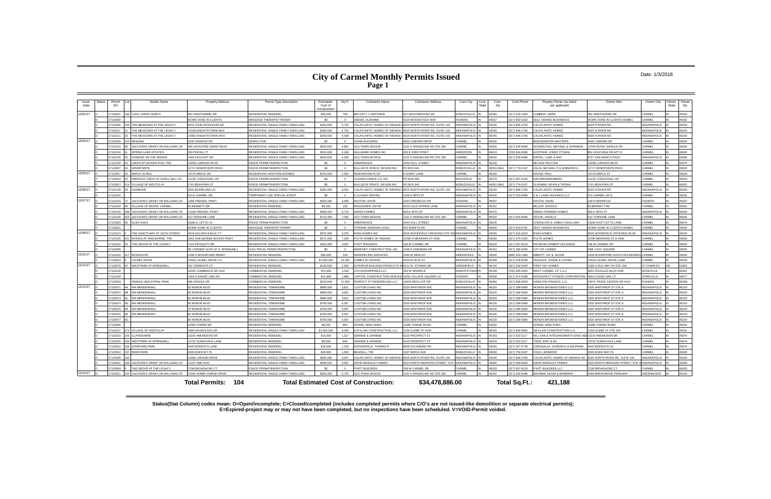## **City of Carmel Monthly Permits Issued Page 1**

#### Date: 1/3/2018

**Status(Stat Column) codes mean: O=Open/incomplete; C=Closed/completed (includes completed permits where C/O's are not issued-like demolition or separate electrical permits); E=Expired-project may or may not have been completed, but no inspections have been scheduled. V=VOID-Permit voided.**

| <b>Issue</b><br>Date | <b>Status</b> | Permit<br>NO.      | Subdiv Name                    | <b>Property Address</b>                      | Permit Type Description                                             | Estimated<br>Cost of<br>Construction | Sq Ft      | <b>Contractor Name</b>                       | <b>Contractor Address</b>      | Cont.City             | Cont.<br>State | Cont.<br>Zip   | Cont.Phone                     | Propety Owner (as listed<br>per applicant) | Owner Adrs                                 | Owner City          | Owner<br>State | Owner<br>Zip   |
|----------------------|---------------|--------------------|--------------------------------|----------------------------------------------|---------------------------------------------------------------------|--------------------------------------|------------|----------------------------------------------|--------------------------------|-----------------------|----------------|----------------|--------------------------------|--------------------------------------------|--------------------------------------------|---------------------|----------------|----------------|
| 12/01/17             |               | 7110001            | COOL CREEK NORTH               | 962 HAWTHORNE DR                             | <b>RESIDENTIAL REMODEL</b>                                          | \$30,000                             | 700        | BECKETT, C MATTHEW                           | 627 WESTMINSTER DR             | <b>VOBLESVILLE</b>    |                | 46060          | 317) 518-1064                  | AMBERT, MARK                               | <b>162 HAWTHORNE DR</b>                    | CARMEL              |                | 46033          |
|                      |               | 7110069            |                                | WORK DONE IN CLIENTS                         | MASSAGE THERAPIST PERMIT                                            | \$0                                  | $\Omega$   | <b>GREEN, SUZANNE</b>                        | 120 WOODSTOCK WAY              | <b>SHERS</b>          |                | 46037          | 317) 842-0203                  | ELF OWNED BUSINESSS                        | VORK DONE IN CLIENTS HOMES                 | <b>ARMEL</b>        |                | 46032          |
|                      |               | 7110096            | THE MEADOWS AT THE LEGACY      | <b>976 JOHN DICKINSON DR</b>                 | RESIDENTIAL SINGLE FAMILY DWELLING                                  | \$250,000                            | 3.733      | CALATLANTIC HOMES OF INDIANA                 | 9025 NORTH RIVER RD, SUITE 100 | <b>IDIANAPOLIS</b>    |                | 46240          | 17) 846-2783                   | <b>ALATLANTIC HOMES</b>                    | 025 N RIVER RD                             | <b>NDIANAPOLIS</b>  |                | 46240          |
|                      |               | 711011             | THE MEADOWS AT THE LEGACY      | 14108 KNIGHTSTOWN WA                         | RESIDENTIAL SINGLE FAMILY DWELLING                                  | \$250,000                            | 4.752      | CALATLANTIC HOMES OF INDIANA                 | 1025 NORTH RIVER RD. SUITE 100 | <b>IDIANAPOLIS</b>    |                | 46240          | 317) 846-2783                  | <b>ALATLANTIC HOMES</b>                    | 025 N RIVER RD                             | <b>INDIANAPOLIS</b> |                | 46240          |
|                      |               | 7110121            | THE MEADOWS AT THE LEGACY      | 4083 KNIGHTSTOWN DR E                        | RESIDENTIAL SINGLE FAMILY DWELLING                                  | \$250,000                            | 4,548      | CALATLANTIC HOMES OF INDIANA                 | 9025 NORTH RIVER RD, SUITE 100 | <b>IDIANAPOLIS</b>    |                | 46240          | 317) 846-2783                  | <b>ALATLANTIC HOMES</b>                    | 025 N RIVER RD                             | <b>INDIANAPOLIS</b> |                | 46240          |
| 12/04/17             |               | 7110090            | <b>NEWARK</b>                  | 035 OSWEGO RD                                | <b>DEMOLITION</b>                                                   | \$0                                  | $\sqrt{2}$ | <b>SIGMA BUILDERS</b>                        | <b>630 LISBORN DRIVE</b>       | ARMFI                 |                | 46032          |                                | RIDGEWATER MASTERS                         | 630 LISBORN DR                             | CARMEL              |                | 46033          |
|                      |               | 7110129            | JACKSON'S GRANT ON WILLIAMS CR | 499 JACKSONS GRANT BLVD                      | RESIDENTIAL SINGLE FAMILY DWELLING                                  | \$560,000                            | 4.861      | OLD TOWN DESIGN                              | 132 S RANGELINE RD STE 200     | ARMEL                 |                | 46032          | 317) 626-8486                  | SKONIECZKA, MICHAEL & SHANNON              | 3764 ROYAL SADDLE DF                       | <b>ARMEL</b>        |                | 46032          |
|                      |               | 7110134            | SPRING LAKE ESTATES            | 303 PINTAIL CT                               | RESIDENTIAL SINGLE FAMILY DWELLING                                  | \$241,809                            | 4.168      | <b>HALLMARK HOMES INC</b>                    | 433 F 53RD STRFT               | NDERSON               |                | 46013          | 65) 644-6566                   | OOTHUR, JOHNY ITTIARA                      | 1 GOLFVIEW DR APT I                        | CARMEL              |                | 46032          |
|                      |               | 7110135            | SUNRISE ON THE MONON           | 1492 DAYLIGHT DR                             | RESIDENTIAL SINGLE FAMILY DWELLING                                  | \$450,000                            | 4.559      | OLD TOWN DESIGN                              | 132 S RANGELINE RD STE 200     | ARMEL                 |                | 46032          | 317) 626-8486                  | <b>IPPEL LUKE &amp; AMY</b>                | 757 SAN MARCO PASS                         | <b>INDIANAPOLIS</b> |                | 46280          |
|                      |               | 7110140            | LAKES AT HAYDEN RUN. THE       | 13299 LORENZO BLVD                           | <b>FENCE PERMIT/INSPECTION</b>                                      | \$0                                  |            | AMERIFENCE                                   | 4340 HULL STREET               | NDIANAPOLIS           |                | 46226          |                                | <b>IICHAIL PECCHIA</b>                     | 3299 LORENZO BLVD                          | CARMEL              |                | 46074          |
|                      |               | 7120007            | <b>WINDPOINTE</b>              | 11717 WINDPOINTE PASS                        | <b>FENCE PERMIT/INSPECTION</b>                                      | \$0                                  | $\Omega$   | <b>BULLSEYE FENCE DESIGN INC.</b>            | PO BOX 941                     | JORI ESVILLE          |                | 46061-0941     | 317) 774-0197                  | <b>ASLIN, MICHAEL P &amp; JENNIFER A</b>   | <b>1717 WINDPOINTE PASS</b>                | <b>ARMEL</b>        |                | 46033          |
| 12/05/17             |               | 7110057            | MAPLE ACRES                    | 13715 MAPLE DR                               | RESIDENTIAL ADDITION-ROOM(S                                         | \$102,000                            | 1.502      | <b>RENOVATION PLUS</b>                       | SHADY LANE                     | <b>ARMEL</b>          |                | 16032          |                                | RUSE, PAUL                                 | 3715 MAPLE ST                              | CARMEL              |                | 46033          |
|                      |               | 7120016            | EMERALD CREST AT HAZEL DELL SU | 13136 TURQUOISE CIR                          | FENCE PERMIT/INSPECTION                                             | \$0                                  | $\sqrt{2}$ | GLIDDEN FENCE CO. INC                        | PO BOX 481                     | VESTFIELD             |                | 46074          | (317) 867-5140                 | AN BRONNENBERG                             | 3136 TURQUOISE CIR                         | CARMEL              |                | 46033          |
|                      |               | 7120017            | VILLAGE OF WESTCLAY            | 1741 BEAUFAIN ST                             | FENCE PERMIT/INSPECTION                                             | \$0                                  | $\Omega$   | BULLSEYE FENCE DESIGN INC.                   | PO BOX 941                     | <b>VOBLESVILLE</b>    |                | 46061-0941     | 317) 774-0197                  | ASMAN, KEVIN & TRISHA                      | 741 BEAUFAIN ST                            | CARMEL              |                | 46032          |
| 12/06/17             |               | 7110128            | <b>ASHMOOR</b>                 | 3532 MOORLAND LN                             | RESIDENTIAL SINGLE FAMILY DWELLING                                  | \$300,000                            | 8.352      | CALATLANTIC HOMES OF INDIANA                 | 9025 NORTH RIVER RD, SUITE 100 | <b>NDIANAPOLIS</b>    |                | 46240          | 317) 846-2783                  | <b>ALATLANTIC HOMES</b>                    | 025 N RIVER RD                             | NDIANAPOLIS         |                | 46240          |
|                      |               | 7110155            |                                | 313 E CARMEL DR                              | <b>TEMPORARY USE SPECIAL EVENT</b>                                  | \$0                                  |            | A CLASSIC RENTAL                             | 333 E 86TH ST                  | <b>IDIANAPOLIS</b>    |                | 46240          | 317) 253-0586                  | & J LAND HOLDINGS LLC                      | 13 CARMEL DR B                             | CARMEL              |                | 46032          |
| 12/07/17             |               | 7110143            | JACKSON'S GRANT ON WILLIAMS CR | 1268 FRENZEL PKWY                            | RESIDENTIAL SINGLE FAMILY DWELLING                                  | \$520,000                            | 4,400      | HASTON, DAVID                                | 12972 BRONCOS DR               | <b>SHERS</b>          |                | 46037          |                                | <b>HASTIN, DAVID</b>                       | 2972 BRONCOS                               | <b>FISHERS</b>      |                | 46037          |
|                      |               | 7110144            | VILLAGE OF MOUNT CARMEL        | 83 RENNETT DR                                | <b>RESIDENTIAL REMODEL</b>                                          | \$4,200                              | 100        | <b><i>NAGGONER, KEVIN</i></b>                | 2613 COLD SPRING LANE          | <b>NDIANAPOLIS</b>    |                | 46222          |                                | <b>MILLER, JESSICA</b>                     | 3 BENNETT RD                               | CARMEL              |                | 46032          |
|                      |               | 7110146            | JACKSON'S GRANT ON WILLIAMS CR | 12166 FRENZEL PKWY                           | RESIDENTIAL SINGLE FAMILY DWELLING                                  | \$569,000                            | 6,715      | DREES HOMES                                  | 900 F 96TH ST                  | <b>NDIANAPOLIS</b>    |                | 46270          |                                | REES PREMIER HOMES                         | 00 E 96TH ST                               | NDIANAPOLIS         |                | 46240          |
|                      |               | 7110148            | JACKSON'S GRANT ON WILLIAMS CR | <b>513 TERHUNE LANE</b>                      | RESIDENTIAL SINGLE FAMILY DWELLING                                  | \$710,000                            | 7.355      | OLD TOWN DESIGN                              | 1132 S RANGELINE RD STE 200    | ARMEL                 |                | 16032          | 317) 626-8486                  | EVOE, ANGELA                               | 13 TURHUNE LANE                            | ARMF                |                | 46032          |
|                      |               | 7120020            | <b>GLEN OAKS</b>               | 3281 E LETTS LN                              | FENCE PERMIT/INSPECTION                                             | \$0                                  |            | AMERIFENCE                                   | 4340 HULL STREET               | NDIANAPOLIS           |                | 46226          |                                | <b>TERNLATE &amp; VIMBAI TSHILILIWA</b>    | 3281 EAST LETTS LANE                       | CARMEL              |                | 46074          |
|                      |               | 7120021            |                                | WORK DONE IN CLIENTS                         | MASSAGE THERAPIST PERMIT                                            | \$0                                  | $\Omega$   | STROHM, MORGAN I FIGH                        | 453 SHEFTS DR                  | ARMFI                 |                | 46032          | 317) 810-0781                  | FLF OWNED BUSINESSS                        | VORK DONE IN CLIENTS HOMES                 | CARMEL              |                | 46032          |
| 12/08/17             |               | 7110123            | THE SANCTUARY AT 116TH STREET  | 4519 GOLDEN EAGLE CT                         | RESIDENTIAL SINGLE FAMILY DWELLING                                  | \$375,000                            | 5,370      | <b>RYAN HOMES INC</b>                        | 8425 WOODFIELD CROSSING STE:   | <b>NDIANAPOLIS</b>    |                | 46240          | 317) 819-2623                  | YAN HOMES                                  | 425 WOODFIELD CROSSING BLVD                | <b>NDIANAPOLIS</b>  |                | 46240          |
|                      |               | 7110126            | WOODS AT SHELBORNE, THE        | 3342 SHELBORNE WOODS PKWY                    | RESIDENTIAL SINGLE FAMILY DWELLING                                  | \$571,000                            | 7.309      | PULTE HOMES OF INDIANA                       | 1590 N MERIDIAN ST #530        | ARMEL                 |                | 46032          | 317) 575-2350                  | UI TF HOMES                                | 590 MERIDIAN ST N #530                     | CARMEL              |                | 46032          |
|                      |               | 7110152            | THE GROVE AT THE LEGACY        | 7214 ANTIQUITY DR                            | RESIDENTIAL SINGLE FAMILY DWELLING                                  | \$331,695                            | 3,087      | PYATT BUILDERS                               | 68 W CARMEL DF                 | ARMFI                 |                | 46033          | 317) 937-9223                  | M DEVELOPMENT HOLDINGS                     | 68 W CARMEL DF                             | CARMEL              |                | 46032          |
|                      |               | 7120026            |                                | SE CORNER 111TH ST & SPRINGMILL              | FLECTRICAL PERMIT/INSPECTION                                        | \$0                                  | $\sim$     | MORPHEY CONSTRUCTION, INC                    | 1499 N SHERMAN DR              | <b>JOIANAPOLIS</b>    |                | 46201          | 317) 356-9250                  | <b>ITY OF CARMEL</b>                       | <b>NE CIVIC SQUARE</b>                     | CARMEL              |                | 46032          |
| 12/11/17             |               | 7110150            | <b>WOODGATE</b>                | 1438 S WOODPOND RNDBT                        | <b>RESIDENTIAL REMODEL</b>                                          | \$80,000                             | 318        | REMODELING SERVICES                          | 390 W MAIN ST                  | REENFIELD             |                | 46040          | 866) 203-1384                  | <b>BBOTT, JAY &amp; JACKIE</b>             | <b>438 WOODPOND SOUTH ROUNDABC</b>         | CARMEL              |                | 46032          |
|                      |               | 7120010            | <b>AUREL RIDGE</b>             | 10540 LAUREL RIDGE LN                        | RESIDENTIAL SINGLE FAMILY DWELLING                                  | \$2,900,000                          | 16.295     | HOMES BY DESIGN                              | 4239 W 96TH ST                 | <b>NDIANAPOLIS</b>    |                | 46268          | 317) 228-0058                  | <b>IEADLEE, SHANE &amp; CATINA</b>         | 0540 LAUREL RIDGE LANE                     | CARMEL              |                | 46033          |
| 12/12/17             |               | 7110078            | <b>NESTPARK AT SPRINGMILI</b>  | 362 TERRENTS CT                              | RESIDENTIAL REMODEI                                                 | \$130,000                            | 2.500      | <b>EXTERIOR BUILDING PRODUCTS</b>            | 212 W. STONER DR               | <b>REENFIELD</b>      |                | 46140          | 317) 318-5300                  | <b>RST KEY HOMES</b>                       | 529 S OLD HWY 94 STE 108                   | <b>ST CHARLES</b>   |                | 63303          |
|                      |               | 17110130           |                                | 10425 COMMERCE DR #110                       | COMMERCIAL REMODE                                                   | \$75,000                             | 1,040      | CEH ENTERPRISES LLC                          | 236 W WARRICK                  | NIGHTSTOW             |                | 46148          | 765) 445-4455                  | <b>/EST CARMEL CP 1 LLC</b>                | 3001 DOUGLAS BLVD #340                     | <b>ROSEVILLE</b>    |                | 95661          |
|                      |               | 7110149            |                                | <b>1364 S RANGE LINE RD</b>                  | COMMERCIAL REMODEL                                                  | \$31,900                             | 1.986      | CAPITOL CONSTRUCTION SERVIC                  | 1051 VILLAGE SQUARE LN         | <b>SHERS</b>          |                | 46038          | 317) 574-5488                  | <b>TROSPECT FITNESS CORPORATION</b>        | <b>1644 CHASE OAK CT</b>                   | ZIONSVILLE          |                | 46077          |
|                      |               | 7120003            | <b>GRADLE INDUSTRIAL PARK</b>  | 488 GRADLE DF                                | COMMERCIAL REMODEL                                                  | \$220,000                            | 12,000     | PERFECT FIT REMODELING LLC                   | 4943 REDCLIFF DR               | <b>OBLESVILLE</b>     |                | 46062          | 317) 828-9530                  | AMILTON FINANCE, LLC                       | 1074 TRADE CENTER DR #124                  | <b>ISHERS</b>       |                | 46038          |
| 12/13/17             |               | 710007             | <b>IRA MENDENHALI</b>          | 30 MONON BLVD                                | RESIDENTIAL TOWNHOME                                                | \$680,000                            | 3.821      | USTOM LIVING INC                             | 335 WINTHROP AVE               | <b>NDIANAPOLIS</b>    |                | 46220          | 317) 289-5990                  | IONON BROWNSTONES LLC                      | 335 WINTHROP ST STE A                      | NDIANAPOLIS         |                | 46220          |
|                      |               | 7100072            | <b>IRA MENDENHALL</b>          | 40 MONON BLVD                                | RESIDENTIAL TOWNHOME                                                | \$680,000                            | 3,821      | CUSTOM LIVING INC                            | 5335 WINTHROP AVE              | NDIANAPOLIS           |                | 46220          | (317) 289-5990                 | IONON BROWNSTONES LLC                      | 335 WINTHROP ST STE A                      | <b>INDIANAPOLIS</b> |                | 46220          |
|                      |               | 7100073            | <b>IRA MENDENHALI</b>          | 50 MONON BLVD                                | <b>RESIDENTIAL TOWNHOME</b>                                         | \$680,000                            | 3.821      | <b>USTOM LIVING INC</b>                      | 5335 WINTHROP AVE              | <b>NDIANAPOLIS</b>    |                | 46220          | 317) 289-5990                  | ONON BROWNSTONES LLC                       | 335 WINTHROP ST STE A                      | <b>NDIANAPOLIS</b>  |                | 46220          |
|                      |               | 7100074            | <b>IRA MENDENHALL</b>          | 60 MONON BLVD                                | RESIDENTIAL TOWNHOME                                                | \$700,000                            | 4.367      | CUSTOM LIVING INC                            | 335 WINTHROP AVE               | <b>VDIANAPOLIS</b>    |                | 46220          | (317) 289-5990                 | IONON BROWNSTONES LLC                      | 335 WINTHROP ST STE A                      | NDIANAPOLIS         |                | 46220          |
|                      |               | 7100075            | <b>IRA MENDENHALI</b>          | <b>70 MONON BLVD</b>                         | RESIDENTIAL TOWNHOME                                                | \$700,000                            | 4.367      | USTOM LIVING INC                             | 335 WINTHROP AVE               | <b>NDIANAPOLIS</b>    |                | 46220          | 317) 289-5990                  | ONON BROWNSTONES LLC                       | 335 WINTHROP ST STE A                      | <b>NDIANAPOLIS</b>  |                | 46220          |
|                      |               | 7100076            | <b>IRA MENDENHALI</b>          | 80 MONON BLVD                                | RESIDENTIAL TOWNHOME                                                | \$700,000                            | 4,367      | <b>USTOM LIVING INC</b>                      | 335 WINTHROP AVE               | <b>NDIANAPOLIS</b>    |                | 46220          | 317) 289-5990                  | ONON BROWNSTONES LLC                       | 335 WINTHROP ST STE A                      | NDIANAPOLIS         |                | 46220          |
|                      |               | 7100077            |                                | 10 HONON BLVD                                | <b>RESIDENTIAL TOWNHOME</b>                                         | \$700,000                            | 4.367      | <b>CUSTOM LIVING INC.</b>                    | 335 WINTHROP AVE               | NDIANAPOLIS           |                | 46220          | 317) 289-5990                  | <b>IONON BROWNSTONES I LC</b>              | 335 WINTHROP ST STE A                      | <b>INDIANAPOLIS</b> |                | 46220          |
|                      |               | 7110086            |                                | 11590 TOWNE RD                               | RESIDENTIAL REMODEL                                                 | \$6,000                              | 800        | ZHONG, NING SHEN                             | 1590 TOWNE ROAD                | ARMEL                 |                | 46032          |                                | HONG, NING SHEN                            | <b>1590 TOWNE ROAD</b>                     | CARMEL              |                | 46032          |
|                      |               | 7110137            | <b>VILLAGE OF WESTCLAY</b>     | <b>899 HOURGLASS DR</b>                      | RESIDENTIAL SINGLE FAMILY DWELLING                                  | \$1,000,000                          | 9.409      | <b>D B KLAIN CONSTRUCTION, LLC</b>           | 2159 GLEBE ST #200             | ARMEL                 |                | 46032          | 317) 846-9992                  | B KLAIN CONSTRUCTION LLC                   | 159 GLEBE ST STE 200                       | CARMEL              |                | 46032          |
|                      |               | 711015             | CLAYROLIRNE                    | 3220 AMUNDSON DR                             | RESIDENTIAL REMODEL                                                 | \$15,000                             | 1,317      | <b>GRANDE &amp; GRANDE</b>                   | 125 PROSPECT ST                | <b>VDIANAPOLI</b>     |                | 46203          | 317) 523-1117                  | <b>J, DAN &amp; HITESHKUMAR R DAVE</b>     | 3220 AMUNDSON DR                           | CARMEI              |                | 46074          |
|                      |               | 7110154            | <b>WESTPARK AT SPRINGMILL</b>  | 13722 SUNNYVALE LANE                         | RESIDENTIAL REMODEL                                                 | \$9,500                              | 845        | GRANDE & GRANDE                              | 6125 PROSPECT ST               | <b>IDIANAPOLIS</b>    |                | 46203          | 317) 523-1117                  | ODD FRIC & AN                              | 3722 SUNNYVALE LAN                         | CARMEL              |                | 46074          |
|                      |               | 7120012            | <b>STANFORD PARK</b>           | 3445 MODESTO LANE                            | RESIDENTIAL REMODEL                                                 | \$16,000                             | 1.100      | <b>EDDINGFIELD, THOMAS R</b>                 | <b>3000 SYCAMORE RD</b>        | <b>NDIANAPOLIS</b>    |                | 46240          | 317) 257-0738                  | <b>IENGALVA, SURESH K &amp; ANUPAMA</b>    | 445 MODESTO LN                             | <b>ARMEL</b>        |                | 46074          |
|                      |               | 7120022            | <b>EDEN PARK</b>               | 3435 EDEN WY PL                              | RESIDENTIAL REMODEL                                                 | \$40,000                             | 1.300      | BEADELL, TIM                                 | 337 MAPLE AVE                  | <b>OBLESVILLE</b>     |                | 46060          | 317) 752-5037                  | OGO. JENNIFER                              | 435 FDFN WAY PI                            | ARMEL               |                | 46033          |
|                      |               | 7120035            |                                | 4069 LARSON DRIVE                            | RESIDENTIAL SINGLE FAMILY DWELLING                                  | \$300,000                            | 6.067      | ALATLANTIC HOMES OF INDIANA                  | 9025 NORTH RIVER RD, SUITE 100 | <b>IDIANAPOLIS</b>    |                | 46240          | 317) 846-2783                  | ALATLANTIC HOMES OF INDIANA ING            | 025 NORTH RIVER RD, SUITE 100              | NDIANAPOLIS         |                | 46240          |
|                      |               | 712004             | JACKSON'S GRANT ON WILLIAMS CR | 12247 AMS RUN                                | RESIDENTIAL SINGLE FAMILY DWELLING                                  | \$596,815                            | 5.951      | DAVID WEEKLEY HOMES                          | 310 NORTH MERIDIAN STREET, ST  | <b>JOIANAPOLIS</b>    |                | 46260          | 317) 669-8500                  | VID WEEKLEY HOMES                          | 310 NORTH MERIDIAN STREET, STE             | INDIANAPOLIS        |                | 46260          |
| 12/14/17             |               | 7120054<br>7120011 | THE GROVE AT THE LEGACY        | 7238 BROADACRE CT<br>12044 HOBBY HORSE DRIVI | <b>ENCE PERMIT/INSPECTION</b><br>RESIDENTIAL SINGLE FAMILY DWELLING | \$0                                  |            | <b>PYATT BUILDERS</b>                        | 168 W CARMEL DR                | ARMEI<br><b>ARMEI</b> |                | 46033<br>46032 | 317) 937-9223<br>317) 626-8486 | YATT BUILDERS LLC                          | 238 BROADACRE CT<br>596 BRENTRIDGE PARKWAY | <b>ARMEL</b>        |                | 46033<br>46143 |
|                      |               |                    | JACKSON'S GRANT ON WILLIAMS CR |                                              |                                                                     | \$500,000                            | 5.742      | OLD TOWN DESIGN                              | 1132 S RANGELINE RD STE 200    |                       |                |                |                                | WAYMAN, KEVIN & BARBARA                    |                                            | GREENWOOD           |                |                |
|                      |               |                    |                                | <b>Total Permits: 104</b>                    |                                                                     |                                      |            | <b>Total Estimated Cost of Construction:</b> | \$34,478,886.00                |                       |                |                | Total Sq.Ft.:                  | 421.188                                    |                                            |                     |                |                |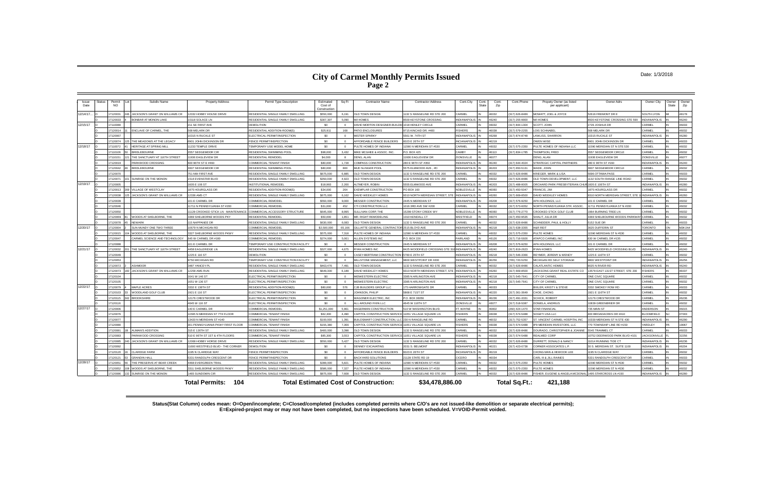## **City of Carmel Monthly Permits Issued Page 2**

#### Date: 1/3/2018

**Status(Stat Column) codes mean: O=Open/incomplete; C=Closed/completed (includes completed permits where C/O's are not issued-like demolition or separate electrical permits); E=Expired-project may or may not have been completed, but no inspections have been scheduled. V=VOID-Permit voided.**

| Issue<br>Date | Status | Permit<br><b>NO</b>  | Subdiv Name                                                  | <b>Property Address</b>                  | Permit Type Description                                            | Estimated<br>Cost of<br>Construction | Sq Ft                   | <b>Contractor Name</b>                            | <b>Contractor Address</b>                     | Cont.City                                | Cont.<br>State | Cont.<br>Zip   | Cont.Phone                       | Propety Owner (as listed<br>per applicant)      | Owner Adrs                                         | Owner City                   | Owner<br><b>State</b> | Owner<br>Zip   |
|---------------|--------|----------------------|--------------------------------------------------------------|------------------------------------------|--------------------------------------------------------------------|--------------------------------------|-------------------------|---------------------------------------------------|-----------------------------------------------|------------------------------------------|----------------|----------------|----------------------------------|-------------------------------------------------|----------------------------------------------------|------------------------------|-----------------------|----------------|
| 12/14/17.     |        | 17120031             | JACKSON'S GRANT ON WILLIAMS CR                               | 12032 HOBBY HOUSE DRIVE                  | RESIDENTIAL SINGLE FAMILY DWELLING                                 | \$550,000                            | 6,191                   | OLD TOWN DESIGN                                   | 132 S RANGELINE RD STE 200                    | CARMEL                                   |                | 46032          | (317) 626-8486                   | MOWATT, JOEL & JOYCE                            | 2616 FREMONT DR E                                  | SOUTH LYON                   |                       | 48178          |
|               |        | 17120033             | BONBAR AT MONON LAKE                                         | 10118 SOLACE LN                          | RESIDENTIAL SINGLE FAMILY DWELLING                                 | \$307,307                            | 5.090                   | M/I HOMES                                         | <b>8500 KEYSTONE CROSSING</b>                 | <b>NDIANAPOLIS</b>                       |                | 16240          | (317) 255-9900                   | <b>M/I HOMES</b>                                | 3500 KEYSTONE CROSSING STE 590                     | INDIANAPOLIS                 |                       | 46240          |
| 12/15/17      |        | 17110088             |                                                              | 211 SE FIRST AVE                         | <b>DEMOLITION</b>                                                  | \$0                                  |                         | DAVID MORTON DESIGNER-BUILDE                      | 1018 HENLEY CIRCLE                            | ARMEI                                    |                | 16032          | 317) 844-1304                    | COTT, JOHN                                      | 729 JOSHUA DR                                      | ARMEI                        |                       | 46033          |
|               |        | 17120014             | ENCLAVE OF CARMEL, THE                                       | 568 MELARK DR                            | RESIDENTIAL ADDITION-ROOM(S                                        | \$25,911                             | 168                     | PATIO ENCLOSURES                                  | 9715 KINCAID DR. #400                         | <b>FISHERS</b>                           |                | 46038          | (317) 579-2255                   | OIS SCHNABE                                     | 568 MELARK DR                                      | CARMEL                       |                       | 46032          |
|               |        | 17120067             |                                                              | 10315 N RUCKLE ST                        | ELECTRICAL PERMIT/INSPECTION                                       | \$0                                  | $\Omega$                | <b>MISTER SPARKY</b>                              | 5561 W. 74TH ST                               | <b>INDIANAPOLIS</b>                      |                | 46268          | 317) 874-8748                    | <b>AWLISS, SHARRON</b>                          | 0315 RUCKLE ST                                     | NDIANAPOLIS                  |                       | 46280          |
|               |        | 17120074             | THE MEADOWS AT THE LEGACY                                    | 6901 JOHN DICKINSON DF                   | <b>FINCE PERMIT/INSPECTION</b>                                     | -90                                  | $\Omega$                | AFFORDABLE FENCE BUILDERS                         | 6023 E 26TH ST                                | <b>INCIANAPOLIS</b>                      |                | 46219          |                                  | <b>OWEN WISE</b>                                | 901 JOHN DICKINSON DR                              | CARMEL                       |                       | 46033          |
| 12/18/17      |        | 17110072             | HERITAGE AT SPRING MILL                                      | 1233 TEMPLE DRIVE                        | <b>TEMPORARY USE MODEL HOME</b>                                    | \$0                                  | $\overline{0}$          | <b>PULTE HOMES OF INDIANA</b>                     | 1590 N MERIDIAN ST #530                       | <b>ARMEL</b>                             |                | 16032          | 317) 575-2350                    | <b>ULTE HOMES OF INDIANA LLC</b>                | 1590 MERIDIAN ST N STE 530                         | <b>ARMEL</b>                 |                       | 46032          |
|               |        | 17110106             | <b>BRIDLEBOURNE</b>                                          | 3557 SEDGEMOOR CIR                       | RESIDENTIAL SWIMMING POOL                                          | \$98,000                             | 3.432                   | MIKE MCGHEE & ASSOC. INC.                         | P.O. BOX 425                                  | `AMRY                                    |                | 46113          | (317) 834-1785                   | HOMPSON, FRED                                   | 557 SEDGEMOOR CIRCLE                               | CARMEL                       |                       | 46032          |
|               |        | 1711015              | THE SANCTUARY AT 116TH STREET                                | 1936 EAGLEVIEW DR                        | RESIDENTIAL REMODE                                                 | \$4,000                              | $\overline{\mathbf{8}}$ | DENG, ALAN                                        | 11936 EAGLEVIEW DR                            | ZIONSVILLE                               |                | 46077          |                                  | DENG. ALAN                                      | 1936 FAGI EVIEW DE                                 | <b>ZIONSVILLE</b>            |                       | 46077          |
|               |        | 17120019             | PARKWOOD CROSSING                                            | 600 96TH ST E #460                       | COMMERCIAL TENANT FINISH                                           | \$80,000                             | 1.728                   | COMPASS CONSTRUCTION                              | 280 E 96TH ST #350                            | <b>NDIANAPOLIS</b>                       |                | 6240           | (317) 644-4024                   | TRATEGIC CAPITAL PARTNERS                       | 80 E 96TH ST #160                                  | NDIANAPOLIS                  |                       | 46240          |
|               |        | 17120042             | <b>BRIDLEBOURNE</b>                                          | 607 SEDGEMOOR CIR                        | RESIDENTIAL SWIMMING POOL                                          | \$80,000                             | 800                     | MUD SLINGER POOL                                  | 5575 ELMWOOD AVE #D                           | NDIANAPOLIS                              |                | 46203          | (317) 650-5131                   | ADE, JOHN                                       | 607 SEDGEMOOR CIRCLE                               | ARMEL                        |                       | 46032          |
|               |        | 17120070             |                                                              | 751 NW FIRST AVE                         | RESIDENTIAL SINGLE FAMILY DWELLING                                 | \$675,000                            | 6.885                   | OLD TOWN DESIGN                                   | 132 S RANGELINE RD STE 200                    | <b>ARMEL</b>                             |                | 6032           | (317) 626-8486                   | (RIEGER, MARK & LISA                            | 696 OTTAWA PASS                                    | CARMEL                       |                       | 46033          |
|               |        | 1712007              | SUNRISE ON THE MONON                                         | 1514 EVENSTAR BLVD                       | RESIDENTIAL SINGLE FAMILY DWELLING                                 | \$350,000                            | 4.923                   | OLD TOWN DESIGN                                   | 1132 S RANGELINE RD STE 200                   | CARMEL                                   |                | 46032          | (317) 626-8486                   | OLD TOWN DEVELOPMENT, LLC                       | 132 SOUTH RANGE LINE ROAD                          | CARMEL                       |                       | 46032          |
| 12/19/17      |        | 17120005             |                                                              | 1605 E 106 ST                            | <b>INSTITUTIONAL REMODEL</b>                                       | \$18,993                             | 2.200                   | <b>ILTMEYER, ROBIN</b>                            | 5555 ELMWOOD AVE                              | <b>INDIANAPOLIS</b>                      |                | 46203          | (317) 488-8005                   | RCHARD PARK PRESBYTERIAN CHUR                   | 1605 E 106TH ST                                    | NDIANAPOLIS<br><b>CARMEL</b> |                       | 46280          |
|               |        | 17120013<br>17120038 | <b>VILLAGE OF WESTCLAY</b><br>JACKSON'S GRANT ON WILLIAMS CR | 1875 HOURGLASS DR<br>12336 AMS CT        | RESIDENTIAL ADDITION-ROOM(S)<br>RESIDENTIAL SINGLE FAMILY DWELLING | \$34,000                             | 264<br>6.162            | <b>EXEMPLAR CONSTRUCTION</b>                      | PO BOX 160<br>9310 NORTH MERIDIAN STREET, STE | <b>VOBLESVILLE</b><br><b>NDIANAPOLIS</b> |                | 46060<br>16260 | (317) 450-5047<br>(317) 669-8500 | RANCIS, JIM                                     | 875 HOURGLASS DR<br>310 NORTH MERIDIAN STREET, STE | <b>INDIANAPOLIS</b>          |                       | 46032<br>46260 |
|               |        | 17120039             |                                                              | 101 E CARMEL DR                          | COMMERCIAL REMODE                                                  | \$675,000<br>\$550,000               | 9,000                   | <b>DAVID WEEKLEY HOMES</b><br>MESSER CONSTRUCTION | 2445 N MERIDIAN ST                            | <b>INDIANAPOLIS</b>                      |                | 46208          | (317) 576-9250                   | <b>DAVID WEEKLEY HOMES</b><br>APA HOLDINGS, LLC | 101 E CARMEL DR                                    | CARMEL                       |                       | 46032          |
|               |        | 17120046             |                                                              | 11711 N PENNSYLVANIA ST #200             | COMMERCIAL REMODE                                                  | \$31,000                             | 452                     | <b>CTI CONSTRUCTION LLC</b>                       | 016 3RD AVE SW #200                           | <b>CARMEL</b>                            |                | 16032          | (317) 573-6052                   | <b>IORTH PENNSYLVANIA STR. ASSOC</b>            | 1711 PENNSYLVANIA ST N #200                        | CARMEL                       |                       | 46032          |
|               |        | 17120050             |                                                              | 11128 CROOKED STICK LN - MAINTENANCE     | COMMERCIAL ACCESSORY STRUCTURE                                     | \$645,000                            | 8,995                   | <b>SULLIVAN CORP. THE</b>                         | 15299 STONY CREEK WY                          | NOBLESVILLE                              |                | 46060          | (317) 776-2770                   | ROOKED STICK GOLF CLUB                          | 964 BURNING TREE LN                                | CARMEL                       |                       | 46032          |
|               |        | 17120069             | WOODS AT SHELBORNE, THE                                      | 3369 SHELBORNE WOODS PKY                 | RESIDENTIAL REMODEI                                                | \$50,000                             | 1.851                   | <b>MR. RIGHT REMODELING</b>                       | 010 KENDALL CT                                | <b>NESTFIELD</b>                         |                | 16074          | 317) 450-9535                    | HALIT, JULIA DR                                 | 369 SHELBOURNE WOODS PARKWAY CARMEI                |                              |                       | 46032          |
|               |        | 17120078             | <b>NEWARK</b>                                                | 115 NAPPANEE DR                          | RESIDENTIAL SINGLE FAMILY DWELLING                                 | \$630,000                            | 6,083                   | OLD TOWN DESIGN                                   | 1132 S RANGELINE RD STE 200                   | CARMEL                                   |                | 16032          | (317) 626-8486                   | CHNEIDER, PAUL & HOLLY                          | 152 SUE DR                                         | ARMF                         |                       | 46033          |
| 12/20/17      |        | 17120004             | SUN MUNDY ONE TWO THREE                                      | 10679 N MICHIGAN RD                      | COMMERCIAL REMODE                                                  | \$2,500,000                          | 65.166                  | <b>ILLIATTE GENERAL CONTRACTOR</b>                | 2515 BLOYD AVE                                | INDIANAPOLI:                             |                | 46218          | $(317)$ 638-3355                 | <b>BAR REIT</b>                                 | 3625 DUFFERIN ST                                   | <b>TORONTO</b>               | <b>ON</b>             | <b>M3K1N4</b>  |
|               |        | 17120015             | WOODS AT SHELBORNE. THE                                      | 3327 SHELBORNE WOODS PKWY                | RESIDENTIAL SINGLE FAMILY DWELLING                                 | \$575,000                            | 7.318                   | PULTE HOMES OF INDIANA                            | 1590 N MERIDIAN ST #530                       | <b>ARMEL</b>                             |                | 46032          | (317) 575-2350                   | PULTE HOMES                                     | 1590 MERIDIAN ST N #530                            | CARMEL                       |                       | 46032          |
|               |        | 17120047             | CARMEL SCIENCE AND TECHNOLOGY                                | 645 W CARMEL DR #180                     | COMMERCIAL REMODEL                                                 | \$274,000                            | 5.061                   | LLEN SYSTEMS INC                                  | P.O. BOX 226                                  | AIRLAND                                  |                | 46126          | 317) 716-5926                    | ATAPCO CARMEL INC                               | 30 W CARMEL DR #135                                | CARMEL                       |                       | 46032          |
|               |        | 17120088             |                                                              | 01 E CARMEL DR                           | <b>TEMPORARY USE CONSTRUCTION FACILITY</b>                         | \$0                                  | $\Omega$                | MESSER CONSTRUCTION                               | 2445 N MERIDIAN ST                            | NDIANAPOLI                               |                | 46208          | (317) 576-9250                   | PA HOLDINGS, LLC                                | 01 E CARMEL DF                                     | ARMF                         |                       | 46032          |
| 12/21/17      |        | 17120032             | THE SANCTUARY AT 116TH STREET                                | 4458 FAGLERIDGE LN                       | RESIDENTIAL SINGLE FAMILY DWELLING                                 | \$327,000                            | 4.675                   | YAN HOMES INC                                     | 8425 WOODFIELD CROSSING STE 3                 | INDIANAPOLIS                             |                | 46240          | (317) 819-2623                   | YAN HOMES                                       | 3425 WOODFIELD CROSSING BLVD                       | NDIANAPOLIS                  |                       | 46240          |
|               |        | 17120049             |                                                              | 1225 E 116 ST                            | <b>DEMOLITION</b>                                                  | \$0                                  | $\Omega$                | CASEY-BERTRAM CONSTRUCTION                        | 5780 E 25TH ST                                | NDIANAPOLIS                              |                | 46218          | (317) 546-3366                   | EYMER, JEREMY & WENDY                           | 225 E 116TH ST                                     | CARMEL                       |                       | 46032          |
|               |        | 17120053             |                                                              | 3750 MICHIGAN RD                         | <b><i>TEMPORARY USE CONSTRUCTION FACILITY</i></b>                  | \$0                                  | $\Omega$                | MILL STONE MANAGEMENT LLC                         | 9800 WESTPOINT DR #200                        | <b>NDIANAPOLIS</b>                       |                | 46256          | 765) 720-5250                    | JICHIGAN RD SELF STORAGE                        | 800 WESTPOINT DR                                   | NDIANAPOLIS                  |                       | 46256          |
|               |        | 7120072              | <b>ASHMOOR</b>                                               | 487 YANCEY PL                            | RESIDENTIAL SINGLE FAMILY DWELLING                                 | \$463,476                            | 7.491                   | <b>DLD TOWN DESIGN</b>                            | 132 S RANGELINE RD STE 200                    | <b>ARMEL</b>                             |                | 6032           | 317) 626-8486                    | ALATI ANTIC HOMES                               | 025 N RIVER RD                                     | NDIANAPOLIS                  |                       | 46240          |
|               |        | 17120073             | JACKSON'S GRANT ON WILLIAMS CR                               | <b>12258 AMS RUN</b>                     | RESIDENTIAL SINGLE FAMILY DWELLING                                 | \$649,300                            | 6,189                   | DAVID WEEKLEY HOMES                               | 3310 NORTH MERIDIAN STREET STR                | INDIANAPOLI:                             |                | 46260          | $(317)$ 669-8500                 | ACKSONS GRANT REAL ESTATE CO                    | 3578 EAST 131ST STREET, STE 200                    | FISHERS                      |                       | 46037          |
|               |        | 17120104             |                                                              | 1641 W 146 ST                            | <b>LECTRICAL PERMIT/INSPECTION</b>                                 | \$0                                  |                         | <b>MIDWESTERN ELECTRIC</b>                        | 385 N ARLINGTON AVE                           | NDIANAPOLIS                              |                | 16218          | 317) 545-7641                    | <b>ITY OF CARME</b>                             | <b>NE CIVIC SQUARE</b>                             | <b>ARMEI</b>                 |                       | 46032          |
|               |        | 17120105             |                                                              | 1651 W 136 ST                            | ELECTRICAL PERMIT/INSPECTION                                       | \$0                                  | $\Omega$                | MIDWESTERN ELECTRIC                               | 3385 N ARLINGTON AVE                          | NDIANAPOLIS                              |                | 46218          | 317) 545-7641                    | <b>ITY OF CARMEL</b>                            | <b>INE CIVIC SQUARE</b>                            | <b>ARMEI</b>                 |                       | 46032          |
| 12/22/17      |        | 7120079              | MAPLE ACRES                                                  | 3332 E 136TH ST                          | RESIDENTIAL ADDITION-ROOM(S)                                       | \$80,000                             | 576                     | CJB BUILDERS GROUP LLC                            | 175 HARROWGATE DR                             | CARMEL                                   |                | 16033          |                                  | IXLER, KRISTY & STEVE                           | 3332 SMOKEY ROW RD                                 | CARMEL                       |                       | 46033          |
|               |        | 17120103             | WOODLAND GOLF CLUB                                           | 1921 E 116 ST                            | ELECTRICAL PERMIT/INSPECTION                                       | \$0                                  | $\sqrt{ }$              | <b>IOHNSON PHILIP</b>                             | 5868 E 71ST ST                                | <b>INDIANAPOLI</b>                       |                | 46220          | (317) 361-3649                   | CHOE CHONG                                      | 1921 E 116TH ST                                    | CARMEL                       |                       | 46032          |
|               |        | 17120115             | <b>BROOKSHIRE</b>                                            | 12176 CRESTWOOD DR                       | ELECTRICAL PERMIT/INSPECTION                                       | \$0                                  | $\Omega$                | <b><i>NAGONER ELECTRIC, INC</i></b>               | P.O. BOX 36056                                | <b>INDIANAPOLIS</b>                      |                | 46236          | (317) 491-3331                   | CHICK, ROBERT                                   | 2176 CRESTWOOD DR                                  | CARMEL                       |                       | 46236          |
|               |        | 17120116             |                                                              | 4645 W 116 ST                            | ELECTRICAL PERMIT/INSPECTION                                       | \$0                                  | $\Omega$                | <b>ILL AROUND FIXIN LLC</b>                       | 4645 W 116TH ST                               | <b>ZIONSVILLE</b>                        |                | 16077          | (317) 518-5087                   | <b>ONIELA, ANDRIUS</b>                          | 0839 GREENBRIER DR                                 | CARMEL                       |                       | 46032          |
| 12/27/17      |        | 17120006             |                                                              | 140 E CARMEL DR                          | COMMERCIAL REMODEL                                                 | \$1,251,000                          | 5.961                   | <b>IAGERMAN CONSTRUCTION</b>                      | 510 W WASHINGTON BLVD                         | T. WAYNE                                 |                | 6802           | 260) 424-1470                    | TAR FINANCIAL                                   | 35 MAIN ST                                         | <b>INDERSON</b>              |                       | 46015          |
|               |        | 17120076             |                                                              | 1595 N MERIDIAN ST 7TH FLOOR             | COMMERCIAL TENANT FINISH                                           | \$62,300                             | 4,490                   | APITOL CONSTRUCTION SERVI                         | 1051 VILLAGE SQUARE LN                        | <b>ISHERS</b>                            |                | 16038          | (317) 574-5488                   | OGETI USA LLC                                   | 00 BROADACRES DR #410                              | <b>NI OOMEIEI D</b>          |                       | 07003          |
|               |        | 17120077             |                                                              | 13420 N MERIDIAN ST #140                 | COMMERCIAL TENANT FINISH                                           | \$100,000                            | 1.391                   | UILDSMART CONSTRUCTION.                           | 230 N RANGELINE RD                            | CARMEL                                   |                | 46032          | (317) 752-5357                   | ST. VINCENT CARMEL HOSPITAL INC                 | 0330 MERIDIAN ST N STE 430                         | INDIANAPOLIS                 |                       | 46290          |
|               |        | 17120080             |                                                              | <b>301 PENNSYLVANIA PKWY FIRST FLOOR</b> | COMMERCIAL TENANT FINISH                                           | \$155,380                            | 7.366                   | CAPITOL CONSTRUCTION SERVICE                      | 11051 VILLAGE SQUARE LN                       | <b>ISHERS</b>                            |                | 46038          | (317) 574-5488                   | 9 MERIDIAN INVESTORS, LLC                       | 70 TOWNSHIP LINE RD #150                           | <b>ARDLEY</b>                |                       | 19067          |
|               |        | 17120081             | <b>AUMAN'S ADDITION</b>                                      | 315 E 126TH ST                           | RESIDENTIAL SINGLE FAMILY DWELLING                                 | \$400,000                            | 3.398                   | OLD TOWN DESIGN                                   | 132 S RANGELINE RD STE 200                    | <b>ARMEL</b>                             |                | 16032          | 317) 626-8486                    | OURADO, CHRISTOPHER & JOANNE                    | 545 TRAMMEL CT                                     | <b>ARMEL</b>                 |                       | 46033          |
|               |        | 17120083             | PARKWOOD CROSSING                                            | 510 E 96TH ST 1ST & 4TH FLOORS           | OMMERCIAL TENANT FINISH                                            | \$85,300                             | 3,553                   | APITOL CONSTRUCTION SERVICI                       | 11051 VILLAGE SQUARE LN                       | <b>ISHERS</b>                            |                | 16038          | (317) 574-5488                   | EALMED CORP                                     | 1752 DEERWOOD PARK BLVD #101                       | <b>ACKSONVILLE</b>           |                       | 32256          |
|               |        | 17120085             | JACKSON'S GRANT ON WILLIAMS CR                               | 12068 HOBBY HORSE DRIVE                  | RESIDENTIAL SINGLE FAMILY DWELLING                                 | \$550,000                            | 5.427                   | OLD TOWN DESIGN                                   | 1132 S RANGELINE RD STE 200                   | CARMEL                                   |                | 46032          | (317) 626-8486                   | URRETT, DONALD & NANCY                          | 1014 RUNNING TIDE CT                               | NDIANAPOLIS                  |                       | 46236          |
|               |        | 17120092             |                                                              | 1600 WESTFIELD BLVD - THE CORNER         | <b>DEMOLITION</b>                                                  | \$0                                  | $\Omega$                | DENNEY EXCAVATING                                 | 2031 S. BELMONT                               | <b>NDIANAPOLI</b>                        |                | 16221          | (317) 423-0738                   | ORNER ASSOCIATES L.P.                           | 0 S. MERIDIAN ST. SUITE 1100                       | NDIANAPOLIS                  |                       | 46204          |
|               |        | 17120120             | CLARIDGE FARM                                                | 195 N CLARIDGE WAY                       | <b>ENCE PERMIT/INSPECTION</b>                                      | \$0                                  | $\Omega$                | AFFORDABLE FENCE BUILDERS                         | 6023 E 26TH ST                                | NCIANAPOLIS                              |                | 46219          |                                  | CHONG MAN & HEWOOK LEE                          | 195 N CLARIDGE WAY                                 | ARMEL                        |                       | 46032          |
|               |        | 7120121              | <b>GRANDIN HALL</b>                                          | 5331 RANDOLPH CRESCENT DR                | <b>ENCE PERMIT/INSPECTION</b>                                      | \$0                                  | $\Omega$                | ACKYARD SOLUTIONS                                 | 1128 STATE RD 19                              | CICERO                                   |                | 6034           |                                  | CARL III & JILL RAINES                          | 331 RANDOLPH CRESCENT DR                           | CARMEI                       |                       | 46033          |
| 12/28/17      |        | 17120051             | THE PRESERVE AT BEAR CREEK                                   | 4468 EVERGREEN TRAIL                     | RESIDENTIAL SINGLE FAMILY DWELLING                                 | \$399,000                            | 5.821                   | <b>PULTE HOMES OF INDIANA</b>                     | 1590 N MERIDIAN ST #530                       | CARMEL                                   |                | <b>GEO32</b>   | (317) 575-2350                   | PULTE HOMES                                     | 1590 MERIDIAN ST N #530                            | CARMEL                       |                       | 46032          |
|               |        | 17120052             | WOODS AT SHELBORNE. THE                                      | 3311 SHELBORNE WOODS PKWY                | RESIDENTIAL SINGLE FAMILY DWELLING                                 | \$586,000                            | 7.327                   | ULTE HOMES OF INDIANA                             | 11590 N MERIDIAN ST #530                      | CARMEL                                   |                | 46032          | (317) 575-2350                   | <b>ULTE HOMES</b>                               | 1590 MERIDIAN ST N #530                            | CARMEL                       |                       | 46032          |
|               |        | 17120086             | 32 SUNRISE ON THE MONON                                      | 1465 SUNDOWN CIF                         | RESIDENTIAL SINGLE FAMILY DWELLING                                 | \$875,000                            | 7,608                   | OLD TOWN DESIGN                                   | 1132 S RANGELINE RD STE 200                   | CARMEL                                   |                | 46032          | (317) 626-8486                   | FISHER, EUGENE & ANGELA MCDONAL                 | 1495 STARCROSS IN #150                             | NDIANAPOLIS                  |                       | 46280          |
|               |        |                      |                                                              | <b>Total Permits: 104</b>                |                                                                    |                                      |                         | <b>Total Estimated Cost of Construction:</b>      | \$34,478,886.00                               |                                          |                |                | Total Sq.Ft.:                    | 421.188                                         |                                                    |                              |                       |                |